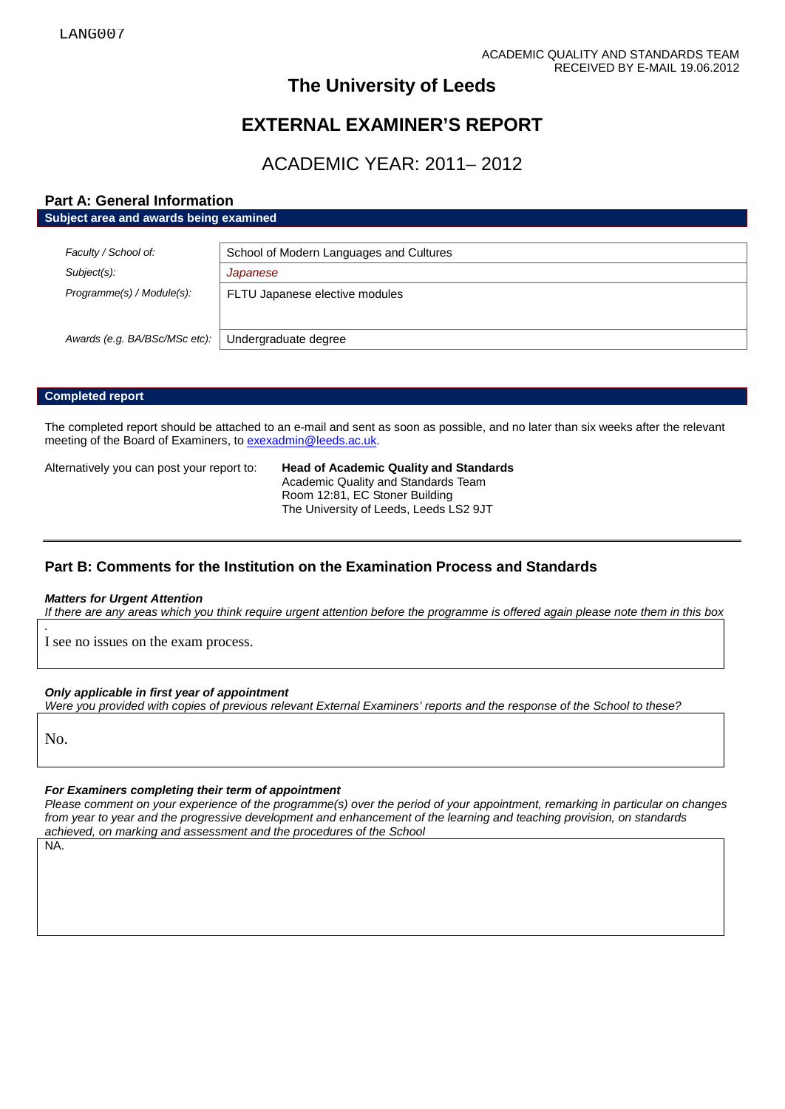# **The University of Leeds**

# **EXTERNAL EXAMINER'S REPORT**

# ACADEMIC YEAR: 2011– 2012

## **Part A: General Information**

**Subject area and awards being examined**

| Faculty / School of:          | School of Modern Languages and Cultures |
|-------------------------------|-----------------------------------------|
| Subject(s):                   | Japanese                                |
| Programme(s) / Module(s):     | FLTU Japanese elective modules          |
|                               |                                         |
| Awards (e.g. BA/BSc/MSc etc): | Undergraduate degree                    |

## **Completed report**

The completed report should be attached to an e-mail and sent as soon as possible, and no later than six weeks after the relevant meeting of the Board of Examiners, t[o exexadmin@leeds.ac.uk.](mailto:exexadmin@leeds.ac.uk)

Alternatively you can post your report to: **Head of Academic Quality and Standards** Academic Quality and Standards Team Room 12:81, EC Stoner Building The University of Leeds, Leeds LS2 9JT

## **Part B: Comments for the Institution on the Examination Process and Standards**

### *Matters for Urgent Attention*

*If there are any areas which you think require urgent attention before the programme is offered again please note them in this box*

I see no issues on the exam process.

### *Only applicable in first year of appointment*

*Were you provided with copies of previous relevant External Examiners' reports and the response of the School to these?* 

No.

*.*

### *For Examiners completing their term of appointment*

*Please comment on your experience of the programme(s) over the period of your appointment, remarking in particular on changes from year to year and the progressive development and enhancement of the learning and teaching provision, on standards achieved, on marking and assessment and the procedures of the School*

NA.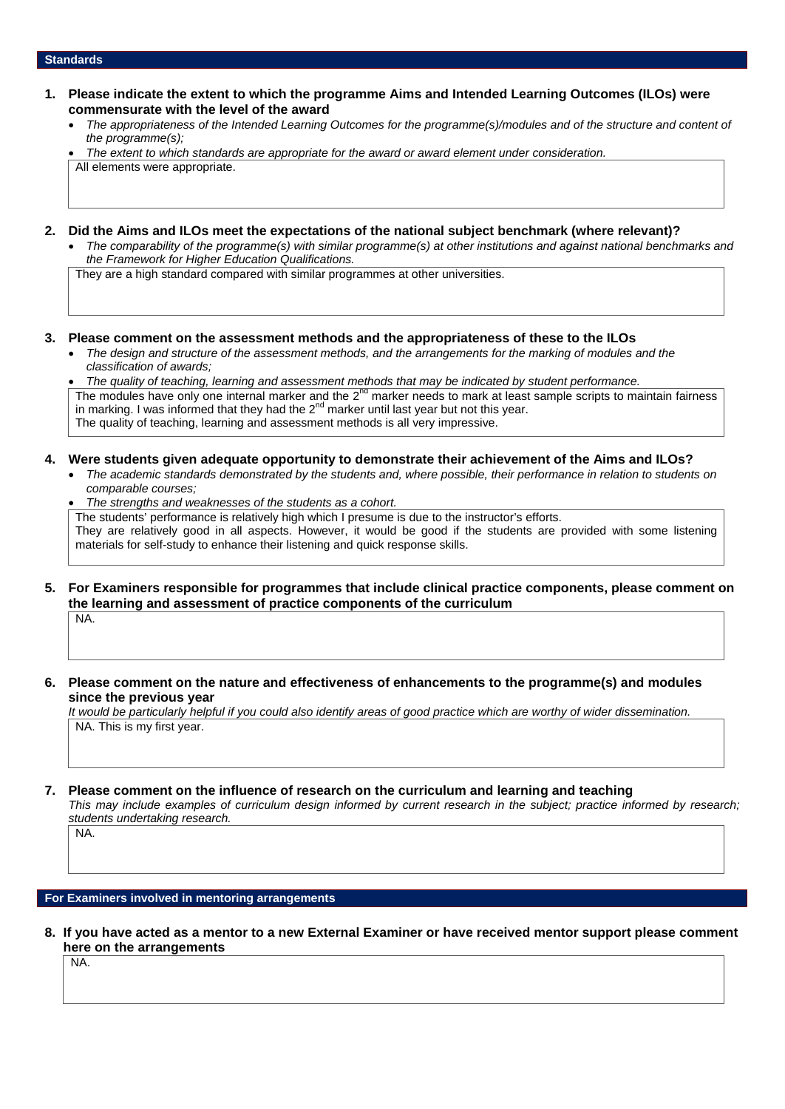### **Standards**

- **1. Please indicate the extent to which the programme Aims and Intended Learning Outcomes (ILOs) were commensurate with the level of the award**
	- *The appropriateness of the Intended Learning Outcomes for the programme(s)/modules and of the structure and content of the programme(s);*

• *The extent to which standards are appropriate for the award or award element under consideration.* All elements were appropriate.

- **2. Did the Aims and ILOs meet the expectations of the national subject benchmark (where relevant)?**
	- *The comparability of the programme(s) with similar programme(s) at other institutions and against national benchmarks and the Framework for Higher Education Qualifications.*

They are a high standard compared with similar programmes at other universities.

- **3. Please comment on the assessment methods and the appropriateness of these to the ILOs**
	- *The design and structure of the assessment methods, and the arrangements for the marking of modules and the classification of awards;*

• *The quality of teaching, learning and assessment methods that may be indicated by student performance.* The modules have only one internal marker and the  $2^{nd}$  marker needs to mark at least sample scripts to maintain fairness in marking. I was informed that they had the  $2<sup>nd</sup>$  marker until last year but not this year. The quality of teaching, learning and assessment methods is all very impressive.

### **4. Were students given adequate opportunity to demonstrate their achievement of the Aims and ILOs?**

- *The academic standards demonstrated by the students and, where possible, their performance in relation to students on comparable courses;*
- *The strengths and weaknesses of the students as a cohort.* The students' performance is relatively high which I presume is due to the instructor's efforts. They are relatively good in all aspects. However, it would be good if the students are provided with some listening materials for self-study to enhance their listening and quick response skills.
- **5. For Examiners responsible for programmes that include clinical practice components, please comment on the learning and assessment of practice components of the curriculum** NA.
- **6. Please comment on the nature and effectiveness of enhancements to the programme(s) and modules since the previous year**

*It would be particularly helpful if you could also identify areas of good practice which are worthy of wider dissemination.*  NA. This is my first year.

### **7. Please comment on the influence of research on the curriculum and learning and teaching**

*This may include examples of curriculum design informed by current research in the subject; practice informed by research; students undertaking research.* 

**For Examiners involved in mentoring arrangements**

**8. If you have acted as a mentor to a new External Examiner or have received mentor support please comment here on the arrangements**

NA.

NA.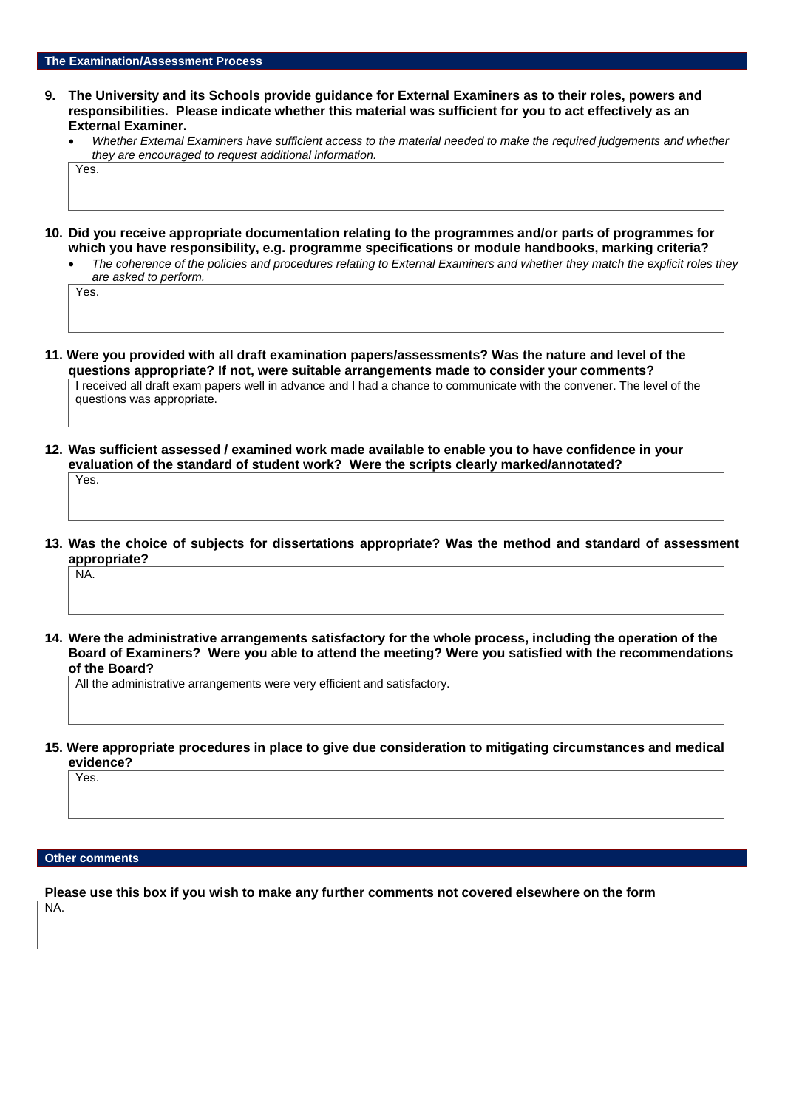- **9. The University and its Schools provide guidance for External Examiners as to their roles, powers and responsibilities. Please indicate whether this material was sufficient for you to act effectively as an External Examiner.**
	- *Whether External Examiners have sufficient access to the material needed to make the required judgements and whether they are encouraged to request additional information.*

Yes.

- **10. Did you receive appropriate documentation relating to the programmes and/or parts of programmes for which you have responsibility, e.g. programme specifications or module handbooks, marking criteria?**
	- *The coherence of the policies and procedures relating to External Examiners and whether they match the explicit roles they are asked to perform.*

Yes.

- **11. Were you provided with all draft examination papers/assessments? Was the nature and level of the questions appropriate? If not, were suitable arrangements made to consider your comments?** I received all draft exam papers well in advance and I had a chance to communicate with the convener. The level of the questions was appropriate.
- **12. Was sufficient assessed / examined work made available to enable you to have confidence in your evaluation of the standard of student work? Were the scripts clearly marked/annotated?**  Yes.
- **13. Was the choice of subjects for dissertations appropriate? Was the method and standard of assessment appropriate?**

NA.

**14. Were the administrative arrangements satisfactory for the whole process, including the operation of the Board of Examiners? Were you able to attend the meeting? Were you satisfied with the recommendations of the Board?**

All the administrative arrangements were very efficient and satisfactory.

**15. Were appropriate procedures in place to give due consideration to mitigating circumstances and medical evidence?**

Yes.

### **Other comments**

**Please use this box if you wish to make any further comments not covered elsewhere on the form**

NA.